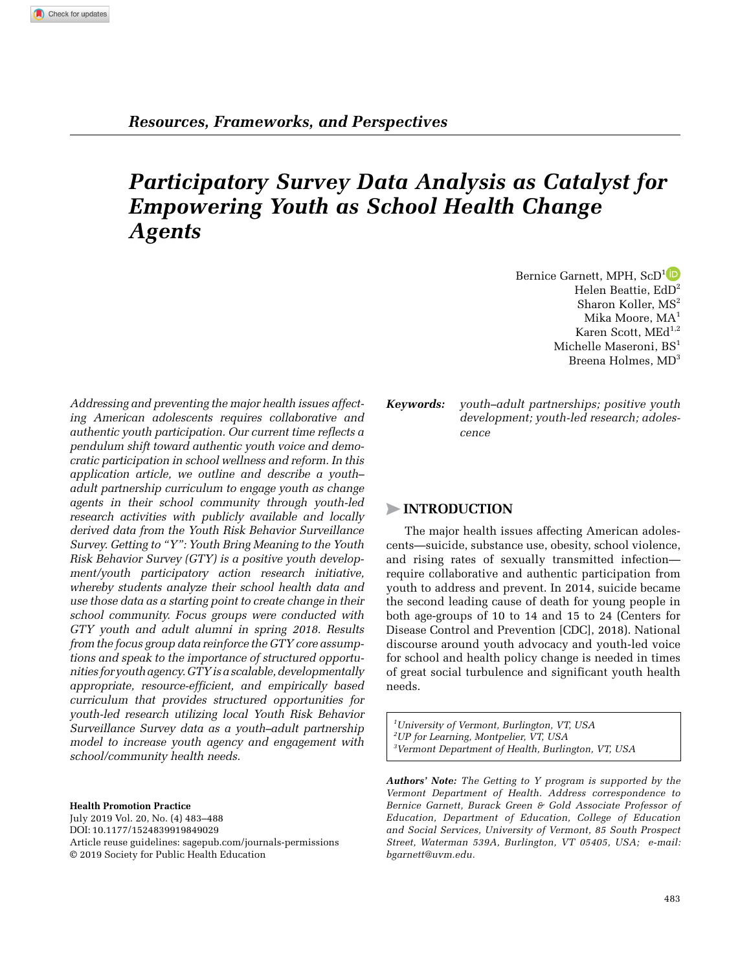# *Participatory Survey Data Analysis as Catalyst for Empowering Youth as School Health Change Agents*

*Addressing and preventing the major health issues affecting American adolescents requires collaborative and authentic youth participation. Our current time reflects a pendulum shift toward authentic youth voice and democratic participation in school wellness and reform. In this application article, we outline and describe a youth– adult partnership curriculum to engage youth as change agents in their school community through youth-led research activities with publicly available and locally derived data from the Youth Risk Behavior Surveillance Survey. Getting to "Y": Youth Bring Meaning to the Youth Risk Behavior Survey (GTY) is a positive youth development/youth participatory action research initiative, whereby students analyze their school health data and use those data as a starting point to create change in their school community. Focus groups were conducted with GTY youth and adult alumni in spring 2018. Results from the focus group data reinforce the GTY core assumptions and speak to the importance of structured opportunities for youth agency. GTY is a scalable, developmentally appropriate, resource-efficient, and empirically based curriculum that provides structured opportunities for youth-led research utilizing local Youth Risk Behavior Surveillance Survey data as a youth–adult partnership model to increase youth agency and engagement with school/community health needs.*

**Health Promotion Practice** July 2019 Vol. 20, No. (4) 483–488 DOI: 10.1177/1524839919849029 [Article reuse guidelines: sagepub.com/journals-permissions](https://us.sagepub.com/en-us/journals-permissions) © 2019 Society for Public Health Education

Bernice Garnett, MPH, ScD<sup>1</sup><sup>D</sup> Helen Beattie,  $EdD<sup>2</sup>$ Sharon Koller, MS<sup>2</sup> Mika Moore, MA<sup>1</sup> Karen Scott, ME $d^{1,2}$ Michelle Maseroni, BS<sup>1</sup> Breena Holmes, MD<sup>3</sup>

*Keywords: youth–adult partnerships; positive youth development; youth-led research; adolescence*

# >**Introduction**

The major health issues affecting American adolescents—suicide, substance use, obesity, school violence, and rising rates of sexually transmitted infection require collaborative and authentic participation from youth to address and prevent. In 2014, suicide became the second leading cause of death for young people in both age-groups of 10 to 14 and 15 to 24 (Centers for Disease Control and Prevention [CDC], 2018). National discourse around youth advocacy and youth-led voice for school and health policy change is needed in times of great social turbulence and significant youth health needs.

*1 University of Vermont, Burlington, VT, USA 2 UP for Learning, Montpelier, VT, USA 3 Vermont Department of Health, Burlington, VT, USA*

*Authors' Note: The Getting to Y program is supported by the Vermont Department of Health. Address correspondence to Bernice Garnett, Burack Green & Gold Associate Professor of Education, Department of Education, College of Education and Social Services, University of Vermont, 85 South Prospect Street, Waterman 539A, Burlington, VT 05405, USA; e-mail: [bgarnett@uvm.edu](mailto:bgarnett@uvm.edu).*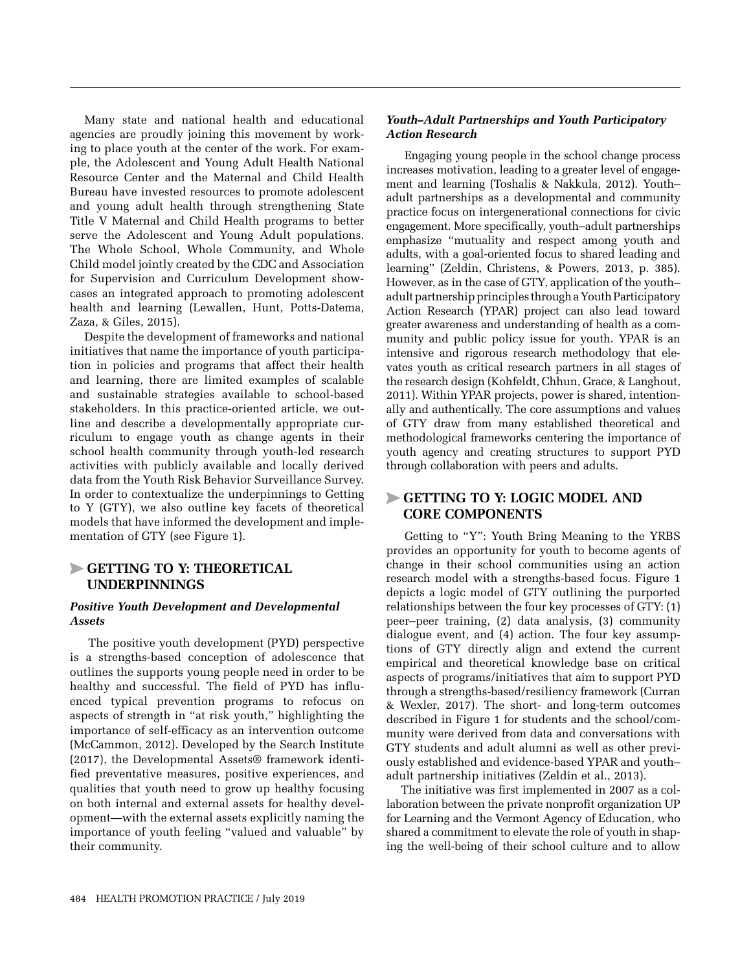Many state and national health and educational agencies are proudly joining this movement by working to place youth at the center of the work. For example, the Adolescent and Young Adult Health National Resource Center and the Maternal and Child Health Bureau have invested resources to promote adolescent and young adult health through strengthening State Title V Maternal and Child Health programs to better serve the Adolescent and Young Adult populations. The Whole School, Whole Community, and Whole Child model jointly created by the CDC and Association for Supervision and Curriculum Development showcases an integrated approach to promoting adolescent health and learning (Lewallen, Hunt, Potts-Datema, Zaza, & Giles, 2015).

Despite the development of frameworks and national initiatives that name the importance of youth participation in policies and programs that affect their health and learning, there are limited examples of scalable and sustainable strategies available to school-based stakeholders. In this practice-oriented article, we outline and describe a developmentally appropriate curriculum to engage youth as change agents in their school health community through youth-led research activities with publicly available and locally derived data from the Youth Risk Behavior Surveillance Survey. In order to contextualize the underpinnings to Getting to Y (GTY), we also outline key facets of theoretical models that have informed the development and implementation of GTY (see Figure 1).

## >**Getting To Y: Theoretical Underpinnings**

#### *Positive Youth Development and Developmental Assets*

The positive youth development (PYD) perspective is a strengths-based conception of adolescence that outlines the supports young people need in order to be healthy and successful. The field of PYD has influenced typical prevention programs to refocus on aspects of strength in "at risk youth," highlighting the importance of self-efficacy as an intervention outcome (McCammon, 2012). Developed by the Search Institute (2017), the Developmental Assets® framework identified preventative measures, positive experiences, and qualities that youth need to grow up healthy focusing on both internal and external assets for healthy development—with the external assets explicitly naming the importance of youth feeling "valued and valuable" by their community.

#### *Youth–Adult Partnerships and Youth Participatory Action Research*

Engaging young people in the school change process increases motivation, leading to a greater level of engagement and learning (Toshalis & Nakkula, 2012). Youth– adult partnerships as a developmental and community practice focus on intergenerational connections for civic engagement. More specifically, youth–adult partnerships emphasize "mutuality and respect among youth and adults, with a goal-oriented focus to shared leading and learning" (Zeldin, Christens, & Powers, 2013, p. 385). However, as in the case of GTY, application of the youth– adult partnership principles through a Youth Participatory Action Research (YPAR) project can also lead toward greater awareness and understanding of health as a community and public policy issue for youth. YPAR is an intensive and rigorous research methodology that elevates youth as critical research partners in all stages of the research design (Kohfeldt, Chhun, Grace, & Langhout, 2011). Within YPAR projects, power is shared, intentionally and authentically. The core assumptions and values of GTY draw from many established theoretical and methodological frameworks centering the importance of youth agency and creating structures to support PYD through collaboration with peers and adults.

# >**Getting To Y: Logic Model And Core Components**

Getting to "Y": Youth Bring Meaning to the YRBS provides an opportunity for youth to become agents of change in their school communities using an action research model with a strengths-based focus. Figure 1 depicts a logic model of GTY outlining the purported relationships between the four key processes of GTY: (1) peer–peer training, (2) data analysis, (3) community dialogue event, and (4) action. The four key assumptions of GTY directly align and extend the current empirical and theoretical knowledge base on critical aspects of programs/initiatives that aim to support PYD through a strengths-based/resiliency framework (Curran & Wexler, 2017). The short- and long-term outcomes described in Figure 1 for students and the school/community were derived from data and conversations with GTY students and adult alumni as well as other previously established and evidence-based YPAR and youth– adult partnership initiatives (Zeldin et al., 2013).

The initiative was first implemented in 2007 as a collaboration between the private nonprofit organization UP for Learning and the Vermont Agency of Education, who shared a commitment to elevate the role of youth in shaping the well-being of their school culture and to allow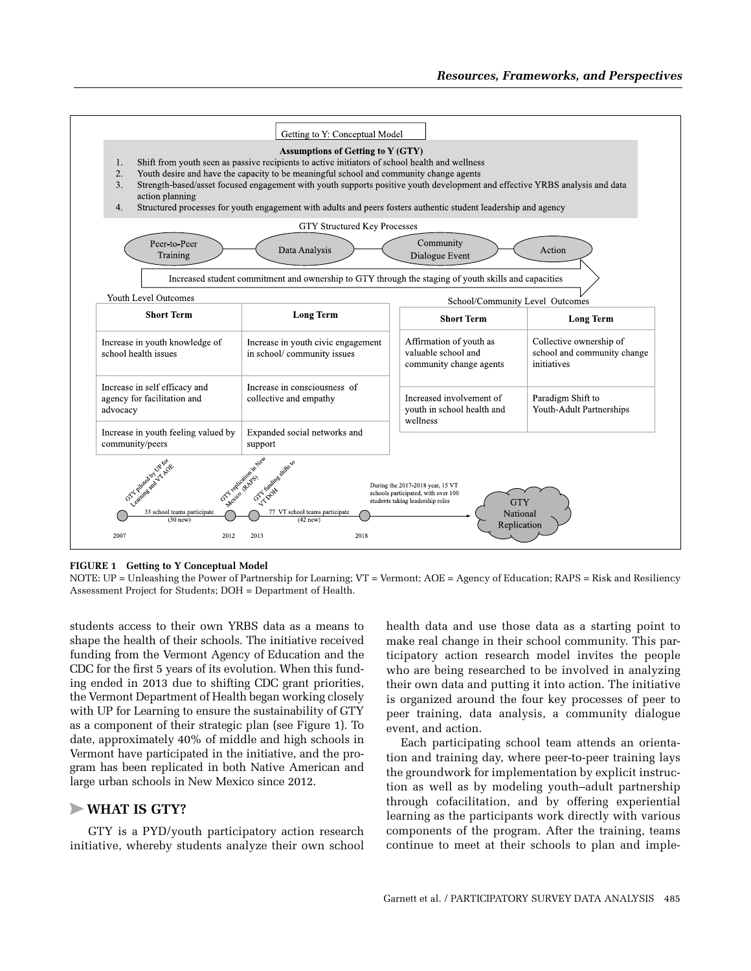

**Figure 1 Getting to Y Conceptual Model**

NOTE: UP = Unleashing the Power of Partnership for Learning; VT = Vermont; AOE = Agency of Education; RAPS = Risk and Resiliency Assessment Project for Students; DOH = Department of Health.

students access to their own YRBS data as a means to shape the health of their schools. The initiative received funding from the Vermont Agency of Education and the CDC for the first 5 years of its evolution. When this funding ended in 2013 due to shifting CDC grant priorities, the Vermont Department of Health began working closely with UP for Learning to ensure the sustainability of GTY as a component of their strategic plan (see Figure 1). To date, approximately 40% of middle and high schools in Vermont have participated in the initiative, and the program has been replicated in both Native American and large urban schools in New Mexico since 2012.

### >**What Is Gty?**

GTY is a PYD/youth participatory action research initiative, whereby students analyze their own school health data and use those data as a starting point to make real change in their school community. This participatory action research model invites the people who are being researched to be involved in analyzing their own data and putting it into action. The initiative is organized around the four key processes of peer to peer training, data analysis, a community dialogue event, and action.

Each participating school team attends an orientation and training day, where peer-to-peer training lays the groundwork for implementation by explicit instruction as well as by modeling youth–adult partnership through cofacilitation, and by offering experiential learning as the participants work directly with various components of the program. After the training, teams continue to meet at their schools to plan and imple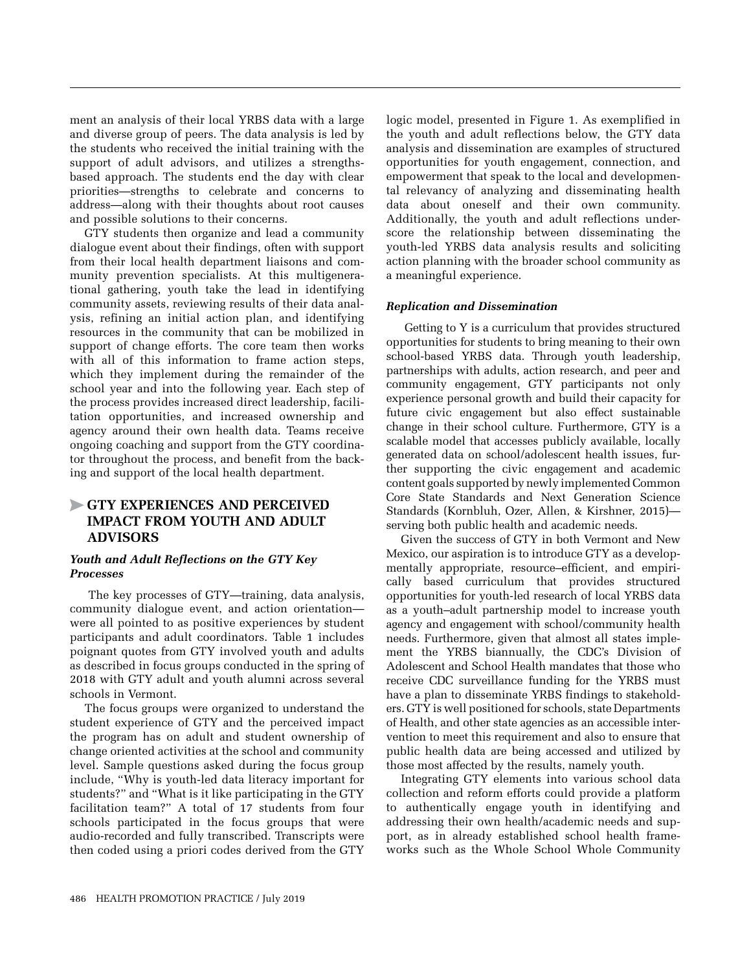ment an analysis of their local YRBS data with a large and diverse group of peers. The data analysis is led by the students who received the initial training with the support of adult advisors, and utilizes a strengthsbased approach. The students end the day with clear priorities—strengths to celebrate and concerns to address—along with their thoughts about root causes and possible solutions to their concerns.

GTY students then organize and lead a community dialogue event about their findings, often with support from their local health department liaisons and community prevention specialists. At this multigenerational gathering, youth take the lead in identifying community assets, reviewing results of their data analysis, refining an initial action plan, and identifying resources in the community that can be mobilized in support of change efforts. The core team then works with all of this information to frame action steps, which they implement during the remainder of the school year and into the following year. Each step of the process provides increased direct leadership, facilitation opportunities, and increased ownership and agency around their own health data. Teams receive ongoing coaching and support from the GTY coordinator throughout the process, and benefit from the backing and support of the local health department.

# >**Gty Experiences And Perceived Impact From Youth And Adult Advisors**

#### *Youth and Adult Reflections on the GTY Key Processes*

The key processes of GTY—training, data analysis, community dialogue event, and action orientation were all pointed to as positive experiences by student participants and adult coordinators. Table 1 includes poignant quotes from GTY involved youth and adults as described in focus groups conducted in the spring of 2018 with GTY adult and youth alumni across several schools in Vermont.

The focus groups were organized to understand the student experience of GTY and the perceived impact the program has on adult and student ownership of change oriented activities at the school and community level. Sample questions asked during the focus group include, "Why is youth-led data literacy important for students?" and "What is it like participating in the GTY facilitation team?" A total of 17 students from four schools participated in the focus groups that were audio-recorded and fully transcribed. Transcripts were then coded using a priori codes derived from the GTY

logic model, presented in Figure 1. As exemplified in the youth and adult reflections below, the GTY data analysis and dissemination are examples of structured opportunities for youth engagement, connection, and empowerment that speak to the local and developmental relevancy of analyzing and disseminating health data about oneself and their own community. Additionally, the youth and adult reflections underscore the relationship between disseminating the youth-led YRBS data analysis results and soliciting action planning with the broader school community as a meaningful experience.

#### *Replication and Dissemination*

Getting to Y is a curriculum that provides structured opportunities for students to bring meaning to their own school-based YRBS data. Through youth leadership, partnerships with adults, action research, and peer and community engagement, GTY participants not only experience personal growth and build their capacity for future civic engagement but also effect sustainable change in their school culture. Furthermore, GTY is a scalable model that accesses publicly available, locally generated data on school/adolescent health issues, further supporting the civic engagement and academic content goals supported by newly implemented Common Core State Standards and Next Generation Science Standards (Kornbluh, Ozer, Allen, & Kirshner, 2015) serving both public health and academic needs.

Given the success of GTY in both Vermont and New Mexico, our aspiration is to introduce GTY as a developmentally appropriate, resource–efficient, and empirically based curriculum that provides structured opportunities for youth-led research of local YRBS data as a youth–adult partnership model to increase youth agency and engagement with school/community health needs. Furthermore, given that almost all states implement the YRBS biannually, the CDC's Division of Adolescent and School Health mandates that those who receive CDC surveillance funding for the YRBS must have a plan to disseminate YRBS findings to stakeholders. GTY is well positioned for schools, state Departments of Health, and other state agencies as an accessible intervention to meet this requirement and also to ensure that public health data are being accessed and utilized by those most affected by the results, namely youth.

Integrating GTY elements into various school data collection and reform efforts could provide a platform to authentically engage youth in identifying and addressing their own health/academic needs and support, as in already established school health frameworks such as the Whole School Whole Community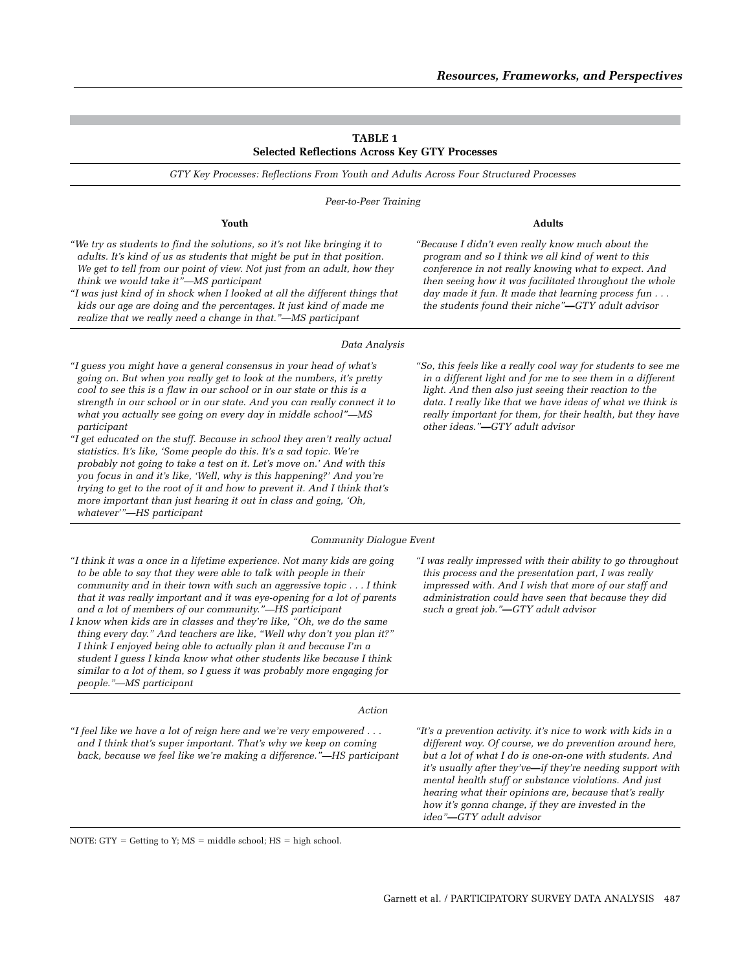#### **Table 1 Selected Reflections Across Key GTY Processes**

*GTY Key Processes: Reflections From Youth and Adults Across Four Structured Processes*

*Peer-to-Peer Training*

*"We try as students to find the solutions, so it's not like bringing it to adults. It's kind of us as students that might be put in that position. We get to tell from our point of view. Not just from an adult, how they think we would take it"—MS participant*

*"I was just kind of in shock when I looked at all the different things that kids our age are doing and the percentages. It just kind of made me realize that we really need a change in that."—MS participant*

#### *Data Analysis*

*"I guess you might have a general consensus in your head of what's going on. But when you really get to look at the numbers, it's pretty cool to see this is a flaw in our school or in our state or this is a strength in our school or in our state. And you can really connect it to what you actually see going on every day in middle school"—MS participant*

*"I get educated on the stuff. Because in school they aren't really actual statistics. It's like, 'Some people do this. It's a sad topic. We're probably not going to take a test on it. Let's move on.' And with this you focus in and it's like, 'Well, why is this happening?' And you're trying to get to the root of it and how to prevent it. And I think that's more important than just hearing it out in class and going, 'Oh, whatever'"—HS participant*

*"So, this feels like a really cool way for students to see me in a different light and for me to see them in a different light. And then also just seeing their reaction to the data. I really like that we have ideas of what we think is really important for them, for their health, but they have other ideas."—GTY adult advisor*

*"I was really impressed with their ability to go throughout this process and the presentation part, I was really impressed with. And I wish that more of our staff and administration could have seen that because they did* 

*such a great job."—GTY adult advisor*

#### *Community Dialogue Event*

*"I think it was a once in a lifetime experience. Not many kids are going to be able to say that they were able to talk with people in their community and in their town with such an aggressive topic . . . I think that it was really important and it was eye-opening for a lot of parents and a lot of members of our community."—HS participant*

*I know when kids are in classes and they're like, "Oh, we do the same thing every day." And teachers are like, "Well why don't you plan it?" I think I enjoyed being able to actually plan it and because I'm a student I guess I kinda know what other students like because I think similar to a lot of them, so I guess it was probably more engaging for people."—MS participant*

#### *Action*

*"I feel like we have a lot of reign here and we're very empowered . . . and I think that's super important. That's why we keep on coming back, because we feel like we're making a difference."—HS participant* *"It's a prevention activity. it's nice to work with kids in a different way. Of course, we do prevention around here, but a lot of what I do is one-on-one with students. And it's usually after they've—if they're needing support with mental health stuff or substance violations. And just hearing what their opinions are, because that's really how it's gonna change, if they are invested in the idea"—GTY adult advisor*

NOTE: GTY = Getting to Y; MS = middle school; HS = high school.

# **Youth Adults** *"Because I didn't even really know much about the*

*program and so I think we all kind of went to this conference in not really knowing what to expect. And then seeing how it was facilitated throughout the whole day made it fun. It made that learning process fun . . . the students found their niche"—GTY adult advisor*